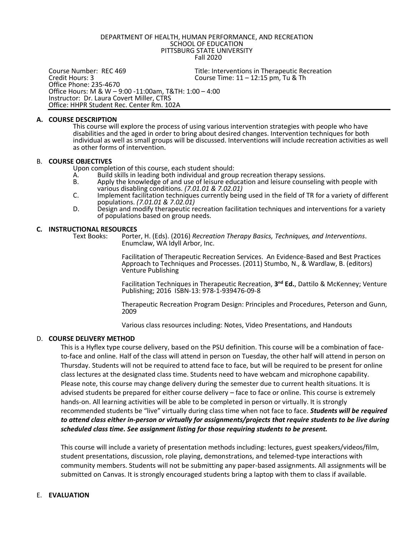DEPARTMENT OF HEALTH, HUMAN PERFORMANCE, AND RECREATION SCHOOL OF EDUCATION PITTSBURG STATE UNIVERSITY Fall 2020

Course Number: REC 469 Title: Interventions in Therapeutic Recreation<br>Credit Hours: 3 Course Time: 11 – 12:15 pm, Tu & Th Course Time:  $11 - 12:15$  pm, Tu & Th Office Phone: 235-4670 Office Hours: M & W – 9:00 -11:00am, T&TH: 1:00 – 4:00 Instructor: Dr. Laura Covert Miller, CTRS Office: HHPR Student Rec. Center Rm. 102A

#### **A. COURSE DESCRIPTION**

This course will explore the process of using various intervention strategies with people who have disabilities and the aged in order to bring about desired changes. Intervention techniques for both individual as well as small groups will be discussed. Interventions will include recreation activities as well as other forms of intervention.

### B. **COURSE OBJECTIVES**

Upon completion of this course, each student should:<br>A. Build skills in leading both individual and grou

- A. Build skills in leading both individual and group recreation therapy sessions.<br>B. Apply the knowledge of and use of leisure education and leisure counseling
- Apply the knowledge of and use of leisure education and leisure counseling with people with various disabling conditions. *(7.01.01 & 7.02.01)*
- C. Implement facilitation techniques currently being used in the field of TR for a variety of different populations. *(7.01.01 & 7.02.01)*
- D. Design and modify therapeutic recreation facilitation techniques and interventions for a variety of populations based on group needs.

# **C. INSTRUCTIONAL RESOURCES**

Porter, H. (Eds). (2016) *Recreation Therapy Basics, Techniques, and Interventions.* Enumclaw, WA Idyll Arbor, Inc.

Facilitation of Therapeutic Recreation Services. An Evidence-Based and Best Practices Approach to Techniques and Processes. (2011) Stumbo, N., & Wardlaw, B. (editors) Venture Publishing

Facilitation Techniques in Therapeutic Recreation, 3<sup>nd</sup> Ed., Dattilo & McKenney; Venture Publishing; 2016 ISBN-13: 978-1-939476-09-8

Therapeutic Recreation Program Design: Principles and Procedures, Peterson and Gunn, 2009

Various class resources including: Notes, Video Presentations, and Handouts

## D. **COURSE DELIVERY METHOD**

This is a Hyflex type course delivery, based on the PSU definition. This course will be a combination of faceto-face and online. Half of the class will attend in person on Tuesday, the other half will attend in person on Thursday. Students will not be required to attend face to face, but will be required to be present for online class lectures at the designated class time. Students need to have webcam and microphone capability. Please note, this course may change delivery during the semester due to current health situations. It is advised students be prepared for either course delivery – face to face or online. This course is extremely hands-on. All learning activities will be able to be completed in person or virtually. It is strongly recommended students be "live" virtually during class time when not face to face. *Students will be required to attend class either in-person or virtually for assignments/projects that require students to be live during scheduled class time. See assignment listing for those requiring students to be present.*

This course will include a variety of presentation methods including: lectures, guest speakers/videos/film, student presentations, discussion, role playing, demonstrations, and telemed-type interactions with community members. Students will not be submitting any paper-based assignments. All assignments will be submitted on Canvas. It is strongly encouraged students bring a laptop with them to class if available.

## E. **EVALUATION**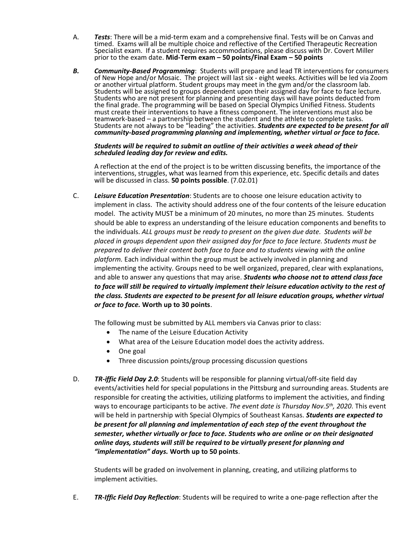- A. *Tests*: There will be a mid-term exam and a comprehensive final. Tests will be on Canvas and timed. Exams will all be multiple choice and reflective of the Certified Therapeutic Recreation Specialist exam. If a student requires accommodations, please discuss with Dr. Covert Miller prior to the exam date. **Mid-Term exam – 50 points/Final Exam – 50 points**
- *B. Community-Based Programming*: Students will prepare and lead TR interventions for consumers of New Hope and/or Mosaic. The project will last six - eight weeks. Activities will be led via Zoom or another virtual platform. Student groups may meet in the gym and/or the classroom lab. Students will be assigned to groups dependent upon their assigned day for face to face lecture. Students who are not present for planning and presenting days will have points deducted from the final grade. The programming will be based on Special Olympics Unified Fitness. Students must create their interventions to have a fitness component. The interventions must also be teamwork-based – a partnership between the student and the athlete to complete tasks. Students are not always to be "leading" the activities. *Students are expected to be present for all community-based programming planning and implementing, whether virtual or face to face.*

### *Students will be required to submit an outline of their activities a week ahead of their scheduled leading day for review and edits.*

A reflection at the end of the project is to be written discussing benefits, the importance of the interventions, struggles, what was learned from this experience, etc. Specific details and dates will be discussed in class. **50 points possible**. (7.02.01)

C. *Leisure Education Presentation*: Students are to choose one leisure education activity to implement in class. The activity should address one of the four contents of the leisure education model. The activity MUST be a minimum of 20 minutes, no more than 25 minutes. Students should be able to express an understanding of the leisure education components and benefits to the individuals. *ALL groups must be ready to present on the given due date. Students will be placed in groups dependent upon their assigned day for face to face lecture. Students must be prepared to deliver their content both face to face and to students viewing with the online platform.* Each individual within the group must be actively involved in planning and implementing the activity. Groups need to be well organized, prepared, clear with explanations, and able to answer any questions that may arise. *Students who choose not to attend class face to face will still be required to virtually implement their leisure education activity to the rest of the class. Students are expected to be present for all leisure education groups, whether virtual or face to face.* **Worth up to 30 points**.

The following must be submitted by ALL members via Canvas prior to class:

- The name of the Leisure Education Activity
- What area of the Leisure Education model does the activity address.
- One goal
- Three discussion points/group processing discussion questions
- D. *TR-iffic Field Day 2.0*: Students will be responsible for planning virtual/off-site field day events/activities held for special populations in the Pittsburg and surrounding areas. Students are responsible for creating the activities, utilizing platforms to implement the activities, and finding ways to encourage participants to be active. *The event date is Thursday Nov.5th, 2020*. This event will be held in partnership with Special Olympics of Southeast Kansas. *Students are expected to be present for all planning and implementation of each step of the event throughout the semester, whether virtually or face to face. Students who are online or on their designated online days, students will still be required to be virtually present for planning and "implementation" days.* **Worth up to 50 points**.

Students will be graded on involvement in planning, creating, and utilizing platforms to implement activities.

E. *TR-Iffic Field Day Reflection*: Students will be required to write a one-page reflection after the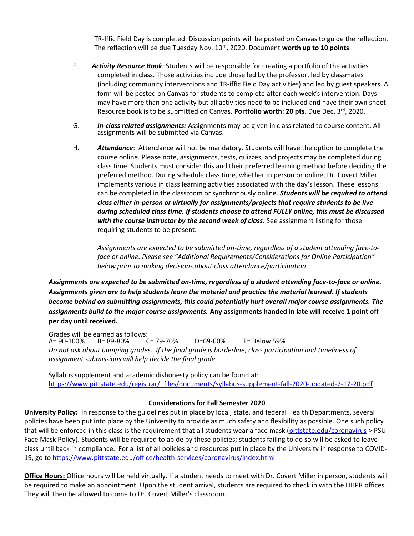TR-Iffic Field Day is completed. Discussion points will be posted on Canvas to guide the reflection. The reflection will be due Tuesday Nov. 10th, 2020. Document **worth up to 10 points**.

- F. *Activity Resource Book*: Students will be responsible for creating a portfolio of the activities completed in class. Those activities include those led by the professor, led by classmates (including community interventions and TR-iffic Field Day activities) and led by guest speakers. A form will be posted on Canvas for students to complete after each week's intervention. Days may have more than one activity but all activities need to be included and have their own sheet. Resource book is to be submitted on Canvas. **Portfolio worth: 20 pts**. Due Dec. 3rd, 2020.
- G. *In-class related assignments:* Assignments may be given in class related to course content. All assignments will be submitted via Canvas.
- H. *Attendance*: Attendance will not be mandatory. Students will have the option to complete the course online. Please note, assignments, tests, quizzes, and projects may be completed during class time. Students must consider this and their preferred learning method before deciding the preferred method. During schedule class time, whether in person or online, Dr. Covert Miller implements various in class learning activities associated with the day's lesson. These lessons can be completed in the classroom or synchronously online. *Students will be required to attend class either in-person or virtually for assignments/projects that require students to be live during scheduled class time. If students choose to attend FULLY online, this must be discussed with the course instructor by the second week of class.* See assignment listing for those requiring students to be present.

*Assignments are expected to be submitted on-time, regardless of a student attending face-toface or online. Please see "Additional Requirements/Considerations for Online Participation" below prior to making decisions about class attendance/participation.*

*Assignments are expected to be submitted on-time, regardless of a student attending face-to-face or online. Assignments given are to help students learn the material and practice the material learned. If students become behind on submitting assignments, this could potentially hurt overall major course assignments. The assignments build to the major course assignments.* **Any assignments handed in late will receive 1 point off per day until received.**

Grades will be earned as follows:<br>A= 90-100% B= 89-80% C= 79-70% A= 90-100% B= 89-80% C= 79-70% D=69-60% F= Below 59% *Do not ask about bumping grades. If the final grade is borderline, class participation and timeliness of assignment submissions will help decide the final grade.*

Syllabus supplement and academic dishonesty policy can be found at: [https://www.pittstate.edu/registrar/\\_files/documents/syllabus-supplement-fall-2020-updated-7-17-20.pdf](https://www.pittstate.edu/registrar/_files/documents/syllabus-supplement-fall-2020-updated-7-17-20.pdf)

# **Considerations for Fall Semester 2020**

**University Policy:** In response to the guidelines put in place by local, state, and federal Health Departments, several policies have been put into place by the University to provide as much safety and flexibility as possible. One such policy that will be enforced in this class is the requirement that all students wear a face mask [\(pittstate.edu/coronavirus](https://www.pittstate.edu/office/health-services/coronavirus/index.html) > PSU Face Mask Policy). Students will be required to abide by these policies; students failing to do so will be asked to leave class until back in compliance. For a list of all policies and resources put in place by the University in response to COVID-19, go to<https://www.pittstate.edu/office/health-services/coronavirus/index.html>

**Office Hours:** Office hours will be held virtually. If a student needs to meet with Dr. Covert Miller in person, students will be required to make an appointment. Upon the student arrival, students are required to check in with the HHPR offices. They will then be allowed to come to Dr. Covert Miller's classroom.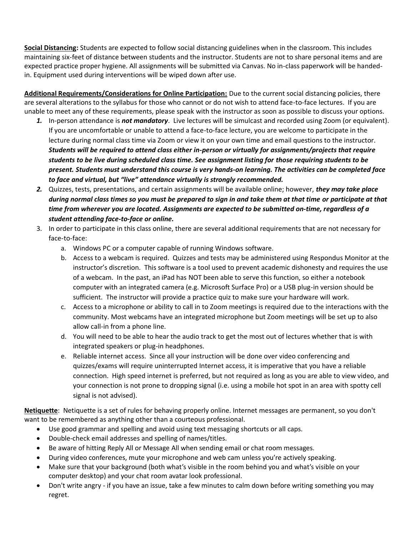**Social Distancing:** Students are expected to follow social distancing guidelines when in the classroom. This includes maintaining six-feet of distance between students and the instructor. Students are not to share personal items and are expected practice proper hygiene. All assignments will be submitted via Canvas. No in-class paperwork will be handedin. Equipment used during interventions will be wiped down after use.

**Additional Requirements/Considerations for Online Participation:** Due to the current social distancing policies, there are several alterations to the syllabus for those who cannot or do not wish to attend face-to-face lectures. If you are unable to meet any of these requirements, please speak with the instructor as soon as possible to discuss your options.

- *1.* In-person attendance is *not mandatory*. Live lectures will be simulcast and recorded using Zoom (or equivalent). If you are uncomfortable or unable to attend a face-to-face lecture, you are welcome to participate in the lecture during normal class time via Zoom or view it on your own time and email questions to the instructor. *Students will be required to attend class either in-person or virtually for assignments/projects that require students to be live during scheduled class time. See assignment listing for those requiring students to be present. Students must understand this course is very hands-on learning. The activities can be completed face to face and virtual, but "live" attendance virtually is strongly recommended.*
- *2.* Quizzes, tests, presentations, and certain assignments will be available online; however, *they may take place during normal class times so you must be prepared to sign in and take them at that time or participate at that time from wherever you are located. Assignments are expected to be submitted on-time, regardless of a student attending face-to-face or online.*
- 3. In order to participate in this class online, there are several additional requirements that are not necessary for face-to-face:
	- a. Windows PC or a computer capable of running Windows software.
	- b. Access to a webcam is required. Quizzes and tests may be administered using Respondus Monitor at the instructor's discretion. This software is a tool used to prevent academic dishonesty and requires the use of a webcam. In the past, an iPad has NOT been able to serve this function, so either a notebook computer with an integrated camera (e.g. Microsoft Surface Pro) or a USB plug-in version should be sufficient. The instructor will provide a practice quiz to make sure your hardware will work.
	- c. Access to a microphone or ability to call in to Zoom meetings is required due to the interactions with the community. Most webcams have an integrated microphone but Zoom meetings will be set up to also allow call-in from a phone line.
	- d. You will need to be able to hear the audio track to get the most out of lectures whether that is with integrated speakers or plug-in headphones.
	- e. Reliable internet access. Since all your instruction will be done over video conferencing and quizzes/exams will require uninterrupted Internet access, it is imperative that you have a reliable connection. High speed internet is preferred, but not required as long as you are able to view video, and your connection is not prone to dropping signal (i.e. using a mobile hot spot in an area with spotty cell signal is not advised).

**Netiquette**: Netiquette is a set of rules for behaving properly online. Internet messages are permanent, so you don't want to be remembered as anything other than a courteous professional.

- Use good grammar and spelling and avoid using text messaging shortcuts or all caps.
- Double-check email addresses and spelling of names/titles.
- Be aware of hitting Reply All or Message All when sending email or chat room messages.
- During video conferences, mute your microphone and web cam unless you're actively speaking.
- Make sure that your background (both what's visible in the room behind you and what's visible on your computer desktop) and your chat room avatar look professional.
- Don't write angry if you have an issue, take a few minutes to calm down before writing something you may regret.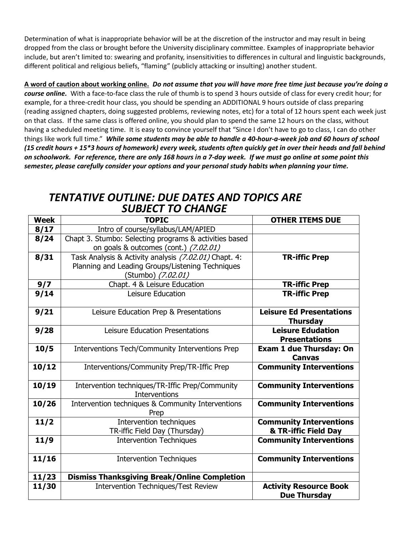Determination of what is inappropriate behavior will be at the discretion of the instructor and may result in being dropped from the class or brought before the University disciplinary committee. Examples of inappropriate behavior include, but aren't limited to: swearing and profanity, insensitivities to differences in cultural and linguistic backgrounds, different political and religious beliefs, "flaming" (publicly attacking or insulting) another student.

**A word of caution about working online.** *Do not assume that you will have more free time just because you're doing a course online.* With a face-to-face class the rule of thumb is to spend 3 hours outside of class for every credit hour; for example, for a three-credit hour class, you should be spending an ADDITIONAL 9 hours outside of class preparing (reading assigned chapters, doing suggested problems, reviewing notes, etc) for a total of 12 hours spent each week just on that class. If the same class is offered online, you should plan to spend the same 12 hours on the class, without having a scheduled meeting time. It is easy to convince yourself that "Since I don't have to go to class, I can do other things like work full time." *While some students may be able to handle a 40-hour-a-week job and 60 hours of school (15 credit hours + 15\*3 hours of homework) every week, students often quickly get in over their heads and fall behind on schoolwork. For reference, there are only 168 hours in a 7-day week. If we must go online at some point this semester, please carefully consider your options and your personal study habits when planning your time.*

# *TENTATIVE OUTLINE: DUE DATES AND TOPICS ARE SUBJECT TO CHANGE*

| <b>Week</b> | <b>TOPIC</b>                                                                                                                    | <b>OTHER ITEMS DUE</b>                                 |
|-------------|---------------------------------------------------------------------------------------------------------------------------------|--------------------------------------------------------|
| 8/17        | Intro of course/syllabus/LAM/APIED                                                                                              |                                                        |
| 8/24        | Chapt 3. Stumbo: Selecting programs & activities based<br>on goals & outcomes (cont.) (7.02.01)                                 |                                                        |
| 8/31        | Task Analysis & Activity analysis (7.02.01) Chapt. 4:<br>Planning and Leading Groups/Listening Techniques<br>(Stumbo) (7.02.01) | <b>TR-iffic Prep</b>                                   |
| 9/7         | Chapt. 4 & Leisure Education                                                                                                    | <b>TR-iffic Prep</b>                                   |
| 9/14        | Leisure Education                                                                                                               | <b>TR-iffic Prep</b>                                   |
| 9/21        | Leisure Education Prep & Presentations                                                                                          | <b>Leisure Ed Presentations</b><br><b>Thursday</b>     |
| 9/28        | Leisure Education Presentations                                                                                                 | <b>Leisure Edudation</b><br><b>Presentations</b>       |
| 10/5        | Interventions Tech/Community Interventions Prep                                                                                 | <b>Exam 1 due Thursday: On</b><br><b>Canvas</b>        |
| 10/12       | Interventions/Community Prep/TR-Iffic Prep                                                                                      | <b>Community Interventions</b>                         |
| 10/19       | Intervention techniques/TR-Iffic Prep/Community<br><b>Interventions</b>                                                         | <b>Community Interventions</b>                         |
| 10/26       | Intervention techniques & Community Interventions<br>Prep                                                                       | <b>Community Interventions</b>                         |
| 11/2        | Intervention techniques<br>TR-iffic Field Day (Thursday)                                                                        | <b>Community Interventions</b><br>& TR-iffic Field Day |
| 11/9        | <b>Intervention Techniques</b>                                                                                                  | <b>Community Interventions</b>                         |
| 11/16       | <b>Intervention Techniques</b>                                                                                                  | <b>Community Interventions</b>                         |
| 11/23       | <b>Dismiss Thanksgiving Break/Online Completion</b>                                                                             |                                                        |
| 11/30       | <b>Intervention Techniques/Test Review</b>                                                                                      | <b>Activity Resource Book</b><br><b>Due Thursday</b>   |